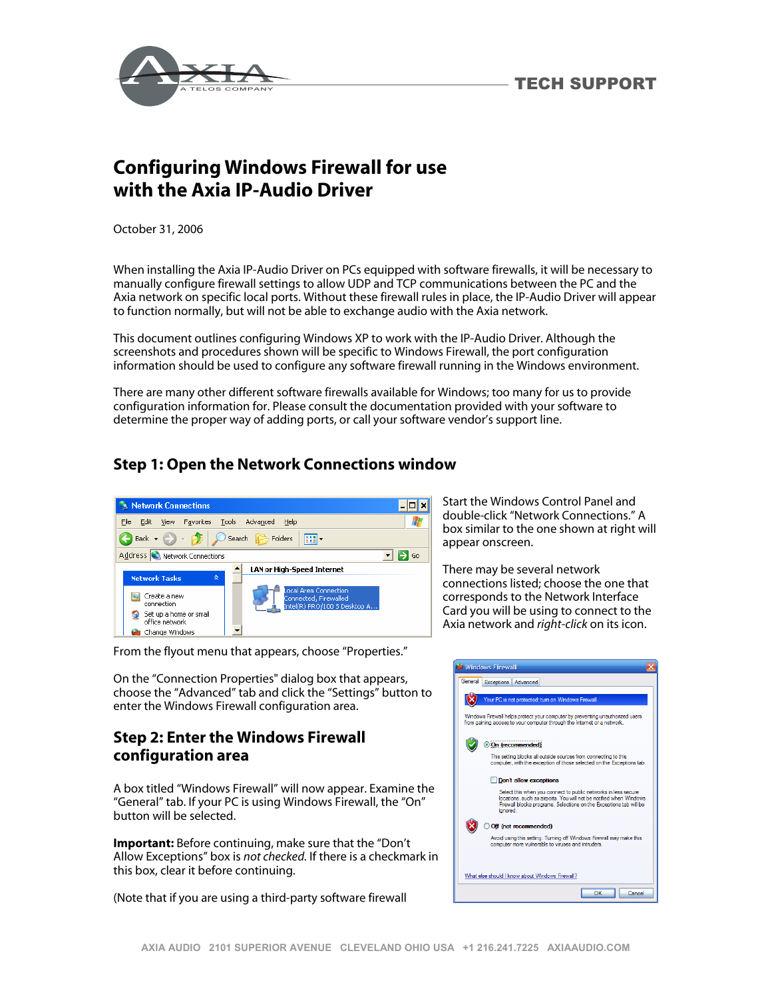



## **Configuring Windows Firewall for use with the Axia IP-Audio Driver**

October 31, 2006

When installing the Axia IP-Audio Driver on PCs equipped with software firewalls, it will be necessary to manually configure firewall settings to allow UDP and TCP communications between the PC and the Axia network on specific local ports. Without these firewall rules in place, the IP-Audio Driver will appear to function normally, but will not be able to exchange audio with the Axia network.

This document outlines configuring Windows XP to work with the IP-Audio Driver. Although the screenshots and procedures shown will be specific to Windows Firewall, the port configuration information should be used to configure any software firewall running in the Windows environment.

There are many other different software firewalls available for Windows; too many for us to provide configuration information for. Please consult the documentation provided with your software to determine the proper way of adding ports, or call your software vendor's support line.

## **Step 1: Open the Network Connections window**



From the flyout menu that appears, choose "Properties."

On the "Connection Properties" dialog box that appears, choose the "Advanced" tab and click the "Settings" button to enter the Windows Firewall configuration area.

## **Step 2: Enter the Windows Firewall configuration area**

A box titled "Windows Firewall" will now appear. Examine the "General" tab. If your PC is using Windows Firewall, the "On" button will be selected.

**Important:** Before continuing, make sure that the "Don't Allow Exceptions" box is *not checked.* If there is a checkmark in this box, clear it before continuing.

(Note that if you are using a third-party software firewall

Start the Windows Control Panel and double-click "Network Connections." A box similar to the one shown at right will appear onscreen.

There may be several network connections listed; choose the one that corresponds to the Network Interface Card you will be using to connect to the Axia network and *right-click* on its icon.